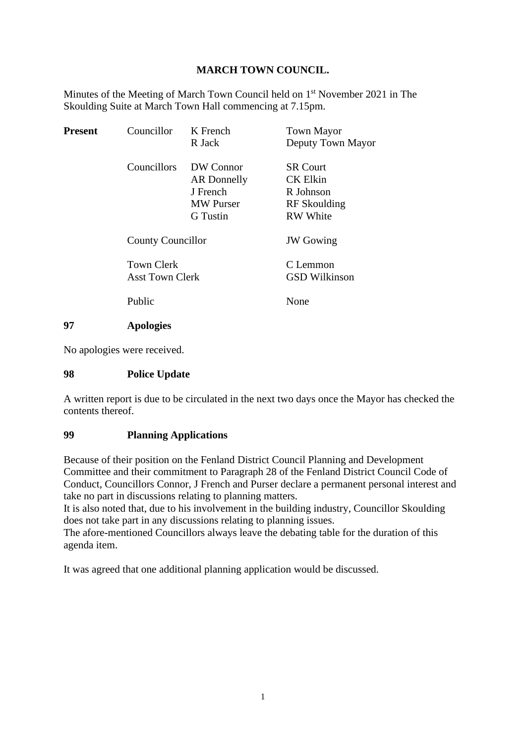## **MARCH TOWN COUNCIL.**

Minutes of the Meeting of March Town Council held on 1<sup>st</sup> November 2021 in The Skoulding Suite at March Town Hall commencing at 7.15pm.

| <b>Present</b> | Councillor                           | K French<br>R Jack                                                          | <b>Town Mayor</b><br>Deputy Town Mayor                                             |
|----------------|--------------------------------------|-----------------------------------------------------------------------------|------------------------------------------------------------------------------------|
|                | Councillors                          | DW Connor<br>AR Donnelly<br>J French<br><b>MW Purser</b><br><b>G</b> Tustin | <b>SR Court</b><br><b>CK Elkin</b><br>R Johnson<br>RF Skoulding<br><b>RW</b> White |
|                | <b>County Councillor</b>             |                                                                             | <b>JW</b> Gowing                                                                   |
|                | <b>Town Clerk</b><br>Asst Town Clerk |                                                                             | C Lemmon<br><b>GSD Wilkinson</b>                                                   |
|                | Public                               |                                                                             | None                                                                               |
| 97             | <b>Apologies</b>                     |                                                                             |                                                                                    |

No apologies were received.

#### **98 Police Update**

A written report is due to be circulated in the next two days once the Mayor has checked the contents thereof.

#### **99 Planning Applications**

Because of their position on the Fenland District Council Planning and Development Committee and their commitment to Paragraph 28 of the Fenland District Council Code of Conduct, Councillors Connor, J French and Purser declare a permanent personal interest and take no part in discussions relating to planning matters.

It is also noted that, due to his involvement in the building industry, Councillor Skoulding does not take part in any discussions relating to planning issues.

The afore-mentioned Councillors always leave the debating table for the duration of this agenda item.

It was agreed that one additional planning application would be discussed.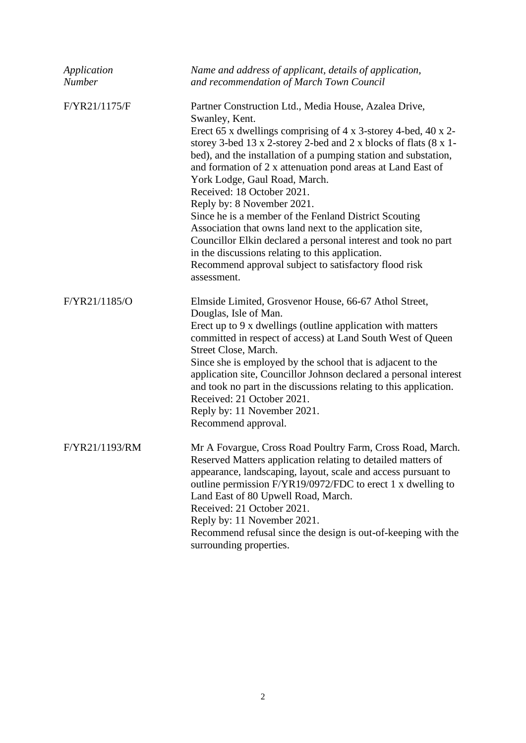| Application<br><b>Number</b> | Name and address of applicant, details of application,<br>and recommendation of March Town Council                                                                                                                                                                                                                                                                                                                                                                                                                                                                                                                                                                                                                                                              |
|------------------------------|-----------------------------------------------------------------------------------------------------------------------------------------------------------------------------------------------------------------------------------------------------------------------------------------------------------------------------------------------------------------------------------------------------------------------------------------------------------------------------------------------------------------------------------------------------------------------------------------------------------------------------------------------------------------------------------------------------------------------------------------------------------------|
| F/YR21/1175/F                | Partner Construction Ltd., Media House, Azalea Drive,<br>Swanley, Kent.<br>Erect 65 x dwellings comprising of 4 x 3-storey 4-bed, 40 x 2-<br>storey 3-bed 13 x 2-storey 2-bed and 2 x blocks of flats (8 x 1-<br>bed), and the installation of a pumping station and substation,<br>and formation of 2 x attenuation pond areas at Land East of<br>York Lodge, Gaul Road, March.<br>Received: 18 October 2021.<br>Reply by: 8 November 2021.<br>Since he is a member of the Fenland District Scouting<br>Association that owns land next to the application site,<br>Councillor Elkin declared a personal interest and took no part<br>in the discussions relating to this application.<br>Recommend approval subject to satisfactory flood risk<br>assessment. |
| F/YR21/1185/O                | Elmside Limited, Grosvenor House, 66-67 Athol Street,<br>Douglas, Isle of Man.<br>Erect up to 9 x dwellings (outline application with matters<br>committed in respect of access) at Land South West of Queen<br>Street Close, March.<br>Since she is employed by the school that is adjacent to the<br>application site, Councillor Johnson declared a personal interest<br>and took no part in the discussions relating to this application.<br>Received: 21 October 2021.<br>Reply by: 11 November 2021.<br>Recommend approval.                                                                                                                                                                                                                               |
| F/YR21/1193/RM               | Mr A Fovargue, Cross Road Poultry Farm, Cross Road, March.<br>Reserved Matters application relating to detailed matters of<br>appearance, landscaping, layout, scale and access pursuant to<br>outline permission F/YR19/0972/FDC to erect 1 x dwelling to<br>Land East of 80 Upwell Road, March.<br>Received: 21 October 2021.<br>Reply by: 11 November 2021.<br>Recommend refusal since the design is out-of-keeping with the<br>surrounding properties.                                                                                                                                                                                                                                                                                                      |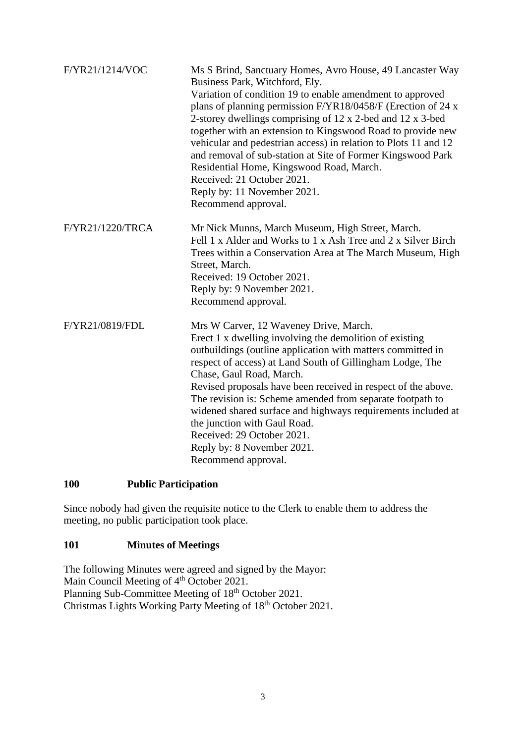| F/YR21/1214/VOC  | Ms S Brind, Sanctuary Homes, Avro House, 49 Lancaster Way<br>Business Park, Witchford, Ely.<br>Variation of condition 19 to enable amendment to approved<br>plans of planning permission F/YR18/0458/F (Erection of 24 x<br>2-storey dwellings comprising of 12 x 2-bed and 12 x 3-bed<br>together with an extension to Kingswood Road to provide new<br>vehicular and pedestrian access) in relation to Plots 11 and 12<br>and removal of sub-station at Site of Former Kingswood Park<br>Residential Home, Kingswood Road, March.<br>Received: 21 October 2021.<br>Reply by: 11 November 2021.<br>Recommend approval. |
|------------------|-------------------------------------------------------------------------------------------------------------------------------------------------------------------------------------------------------------------------------------------------------------------------------------------------------------------------------------------------------------------------------------------------------------------------------------------------------------------------------------------------------------------------------------------------------------------------------------------------------------------------|
| F/YR21/1220/TRCA | Mr Nick Munns, March Museum, High Street, March.<br>Fell 1 x Alder and Works to 1 x Ash Tree and 2 x Silver Birch<br>Trees within a Conservation Area at The March Museum, High<br>Street, March.<br>Received: 19 October 2021.<br>Reply by: 9 November 2021.<br>Recommend approval.                                                                                                                                                                                                                                                                                                                                    |
| F/YR21/0819/FDL  | Mrs W Carver, 12 Waveney Drive, March.<br>Erect 1 x dwelling involving the demolition of existing<br>outbuildings (outline application with matters committed in<br>respect of access) at Land South of Gillingham Lodge, The<br>Chase, Gaul Road, March.<br>Revised proposals have been received in respect of the above.<br>The revision is: Scheme amended from separate footpath to<br>widened shared surface and highways requirements included at<br>the junction with Gaul Road.<br>Received: 29 October 2021.<br>Reply by: 8 November 2021.<br>Recommend approval.                                              |

## **100 Public Participation**

Since nobody had given the requisite notice to the Clerk to enable them to address the meeting, no public participation took place.

## **101 Minutes of Meetings**

The following Minutes were agreed and signed by the Mayor: Main Council Meeting of 4<sup>th</sup> October 2021. Planning Sub-Committee Meeting of 18<sup>th</sup> October 2021. Christmas Lights Working Party Meeting of 18<sup>th</sup> October 2021.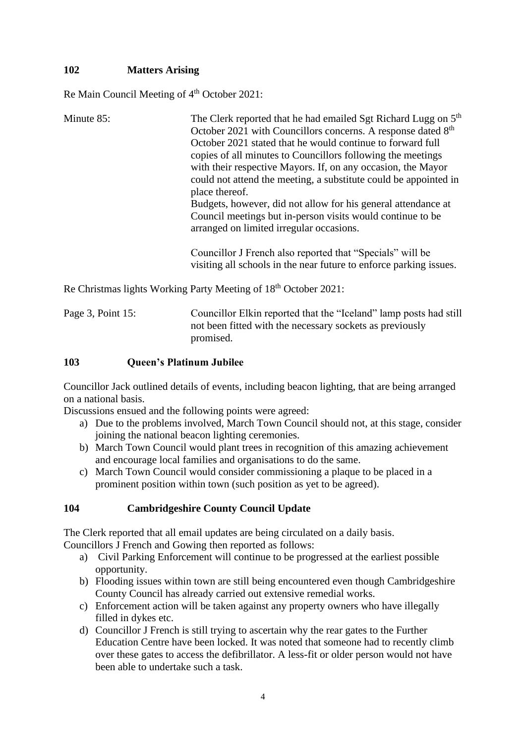# **102 Matters Arising**

Re Main Council Meeting of 4<sup>th</sup> October 2021:

| Minute 85:        | The Clerk reported that he had emailed Sgt Richard Lugg on 5 <sup>th</sup><br>October 2021 with Councillors concerns. A response dated 8 <sup>th</sup><br>October 2021 stated that he would continue to forward full<br>copies of all minutes to Councillors following the meetings<br>with their respective Mayors. If, on any occasion, the Mayor<br>could not attend the meeting, a substitute could be appointed in<br>place thereof.<br>Budgets, however, did not allow for his general attendance at<br>Council meetings but in-person visits would continue to be<br>arranged on limited irregular occasions. |
|-------------------|----------------------------------------------------------------------------------------------------------------------------------------------------------------------------------------------------------------------------------------------------------------------------------------------------------------------------------------------------------------------------------------------------------------------------------------------------------------------------------------------------------------------------------------------------------------------------------------------------------------------|
|                   | Councillor J French also reported that "Specials" will be<br>visiting all schools in the near future to enforce parking issues.                                                                                                                                                                                                                                                                                                                                                                                                                                                                                      |
|                   | Re Christmas lights Working Party Meeting of 18 <sup>th</sup> October 2021:                                                                                                                                                                                                                                                                                                                                                                                                                                                                                                                                          |
| Page 3, Point 15: | Councillor Elkin reported that the "Iceland" lamp posts had still<br>not been fitted with the necessary sockets as previously<br>promised.                                                                                                                                                                                                                                                                                                                                                                                                                                                                           |

### **103 Queen's Platinum Jubilee**

Councillor Jack outlined details of events, including beacon lighting, that are being arranged on a national basis.

Discussions ensued and the following points were agreed:

- a) Due to the problems involved, March Town Council should not, at this stage, consider joining the national beacon lighting ceremonies.
- b) March Town Council would plant trees in recognition of this amazing achievement and encourage local families and organisations to do the same.
- c) March Town Council would consider commissioning a plaque to be placed in a prominent position within town (such position as yet to be agreed).

## **104 Cambridgeshire County Council Update**

The Clerk reported that all email updates are being circulated on a daily basis.

Councillors J French and Gowing then reported as follows:

- a) Civil Parking Enforcement will continue to be progressed at the earliest possible opportunity.
- b) Flooding issues within town are still being encountered even though Cambridgeshire County Council has already carried out extensive remedial works.
- c) Enforcement action will be taken against any property owners who have illegally filled in dykes etc.
- d) Councillor J French is still trying to ascertain why the rear gates to the Further Education Centre have been locked. It was noted that someone had to recently climb over these gates to access the defibrillator. A less-fit or older person would not have been able to undertake such a task.